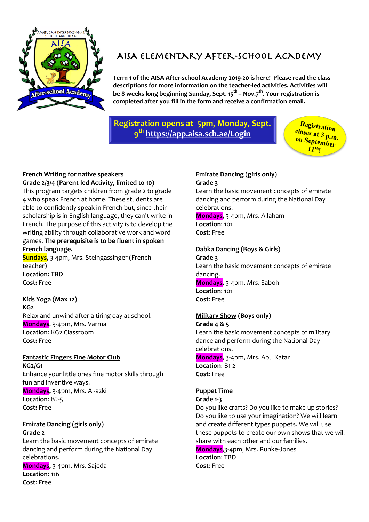

# AISA Elementary After-school Academy

**Term 1 of the AISA After-school Academy 2019-20 is here! Please read the class descriptions for more information on the teacher-led activities. Activities will be 8 weeks long beginning Sunday, Sept. 15th – Nov.7th. Your registration is completed after you fill in the form and receive a confirmation email.**

# **Registration opens at 5pm, Monday, Sept. 9th https://app.aisa.sch.ae/Login**

**Registration closes at 3 p.m. on September 11th !**

## **French Writing for native speakers**

**Grade 2/3/4 (Parent-led Activity, limited to 10)** This program targets children from grade 2 to grade 4 who speak French at home. These students are able to confidently speak in French but, since their scholarship is in English language, they can't write in French. The purpose of this activity is to develop the writing ability through collaborative work and word games. **The prerequisite is to be fluent in spoken French language.**

**Sundays,** 3-4pm, Mrs. Steingassinger (French teacher) **Location: TBD Cost:** Free

**Kids Yoga (Max 12) KG2** Relax and unwind after a tiring day at school. **Mondays**, 3-4pm, Mrs. Varma **Location**: KG2 Classroom **Cost:** Free

## **Fantastic Fingers Fine Motor Club**

**KG2/G1** Enhance your little ones fine motor skills through fun and inventive ways. **Mondays,** 3-4pm, Mrs. Al-azki **Location**: B2-5 **Cost:** Free

**Emirate Dancing (girls only) Grade 2**

Learn the basic movement concepts of emirate dancing and perform during the National Day celebrations. **Mondays,** 3-4pm, Mrs. Sajeda **Location**: 116 **Cost**: Free

# **Emirate Dancing (girls only)**

#### **Grade 3**

Learn the basic movement concepts of emirate dancing and perform during the National Day celebrations.

**Mondays,** 3-4pm, Mrs. Allaham **Location**: 101 **Cost**: Free

### **Dabka Dancing (Boys & Girls)**

**Grade 3** Learn the basic movement concepts of emirate dancing. **Mondays,** 3-4pm, Mrs. Saboh **Location**: 101 **Cost**: Free

## **Military Show (Boys only)**

**Grade 4 & 5** Learn the basic movement concepts of military dance and perform during the National Day celebrations. **Mondays**, 3-4pm, Mrs. Abu Katar **Location**: B1-2 **Cost**: Free

## **Puppet Time**

**Grade 1-3**

Do you like crafts? Do you like to make up stories? Do you like to use your imagination? We will learn and create different types puppets. We will use these puppets to create our own shows that we will share with each other and our families.

**Mondays**,3-4pm, Mrs. Runke-Jones **Location**: TBD **Cost**: Free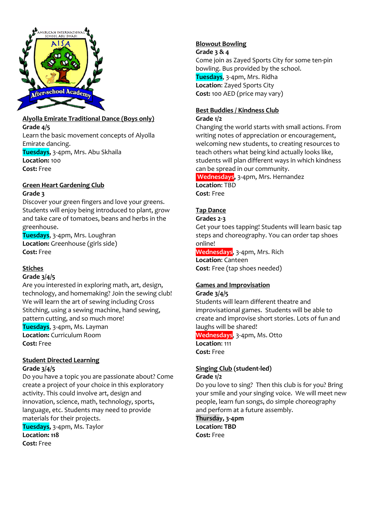

## **Alyolla Emirate Traditional Dance (Boys only) Grade 4/5** Learn the basic movement concepts of Alyolla

Emirate dancing. **Tuesdays,** 3-4pm, Mrs. Abu Skhaila **Location:** 100 **Cost:** Free

#### **Green Heart Gardening Club Grade 3**

Discover your green fingers and love your greens. Students will enjoy being introduced to plant, grow and take care of tomatoes, beans and herbs in the greenhouse.

**Tuesdays**, 3-4pm, Mrs. Loughran **Location:** Greenhouse (girls side) **Cost:** Free

## **Stiches**

## **Grade 3/4/5**

Are you interested in exploring math, art, design, technology, and homemaking? Join the sewing club! We will learn the art of sewing including Cross Stitching, using a sewing machine, hand sewing, pattern cutting, and so much more! **Tuesdays**, 3-4pm, Ms. Layman **Location:** Curriculum Room **Cost:** Free

# **Student Directed Learning**

#### **Grade 3/4/5**

Do you have a topic you are passionate about? Come create a project of your choice in this exploratory activity. This could involve art, design and innovation, science, math, technology, sports, language, etc. Students may need to provide materials for their projects.

**Tuesdays,** 3-4pm, Ms. Taylor **Location: 118 Cost:** Free

## **Blowout Bowling**

#### **Grade 3 & 4**

Come join as Zayed Sports City for some ten-pin bowling. Bus provided by the school. **Tuesdays**, 3-4pm, Mrs. Ridha **Location**: Zayed Sports City **Cost:** 100 AED (price may vary)

## **Best Buddies / Kindness Club**

### **Grade 1/2**

Changing the world starts with small actions. From writing notes of appreciation or encouragement, welcoming new students, to creating resources to teach others what being kind actually looks like, students will plan different ways in which kindness can be spread in our community.

**Wednesdays,** 3-4pm, Mrs. Hernandez **Location**: TBD **Cost**: Free

## **Tap Dance**

## **Grades 2-3**

Get your toes tapping! Students will learn basic tap steps and choreography. You can order tap shoes online!

**Wednesdays**, 3-4pm, Mrs. Rich **Location**: Canteen **Cost**: Free (tap shoes needed)

# **Games and Improvisation**

#### **Grade 3/4/5**

Students will learn different theatre and improvisational games. Students will be able to create and improvise short stories. Lots of fun and laughs will be shared! **Wednesdays**, 3-4pm, Ms. Otto **Location**: 111

**Cost:** Free

### **Singing Club (student-led) Grade 1/2**

Do you love to sing? Then this club is for you? Bring your smile and your singing voice. We will meet new people, learn fun songs, do simple choreography and perform at a future assembly.

**Thursday, 3-4pm Location: TBD Cost:** Free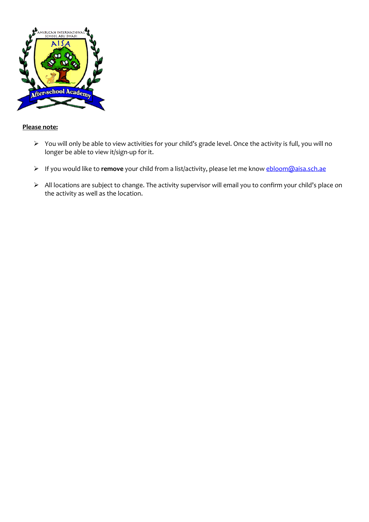

#### **Please note:**

- Ø You will only be able to view activities for your child's grade level. Once the activity is full, you will no longer be able to view it/sign-up for it.
- Ø If you would like to **remove** your child from a list/activity, please let me know ebloom@aisa.sch.ae
- Ø All locations are subject to change. The activity supervisor will email you to confirm your child's place on the activity as well as the location.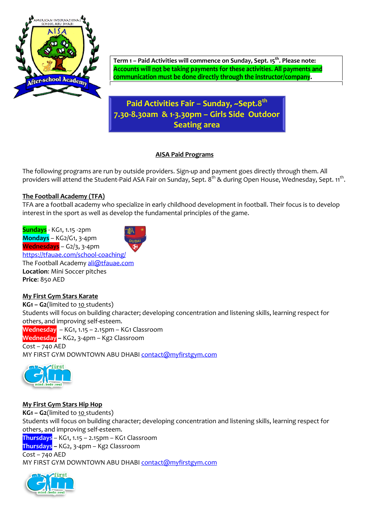

Term 1 – Paid Activities will commence on Sunday, Sept. 15<sup>th</sup>. Please note:<br><mark>Accounts will <u>not</u> be taking payments for these activities. All payments and</mark> communication must be done directly through the instructor/company.

# **Paid Activities Fair – Sunday, ~Sept.8th 7.30-8.30am & 1-3.30pm – Girls Side Outdoor Seating area**

### **AISA Paid Programs**

The following programs are run by outside providers. Sign-up and payment goes directly through them. All providers will attend the Student-Paid ASA Fair on Sunday, Sept. 8<sup>th</sup> & during Open House, Wednesday, Sept. 11<sup>th</sup>.

## **The Football Academy (TFA)**

TFA are a football academy who specialize in early childhood development in football. Their focus is to develop interest in the sport as well as develop the fundamental principles of the game.

**Sundays** - KG1, 1.15 -2pm **Mondays** – KG2/G1, 3-4pm **Wednesdays** – G2/3, 3-4pm https://tfauae.com/school-coaching/ The Football Academy ali@tfauae.com **Location**: Mini Soccer pitches **Price**: 850 AED

## **My First Gym Stars Karate**

**KG1 – G2**(limited to 10 students) Students will focus on building character; developing concentration and listening skills, learning respect for others, and improving self-esteem. **Wednesday** – KG1, 1.15 – 2.15pm – KG1 Classroom **Wednesday –** KG2, 3-4pm – Kg2 Classroom Cost – 740 AED MY FIRST GYM DOWNTOWN ABU DHABI contact@myfirstgym.com



## **My First Gym Stars Hip Hop**

**KG1 – G2**(limited to 10 students) Students will focus on building character; developing concentration and listening skills, learning respect for others, and improving self-esteem. **Thursdays** – KG1, 1.15 – 2.15pm – KG1 Classroom **Thursdays –** KG2, 3-4pm – Kg2 Classroom Cost – 740 AED

MY FIRST GYM DOWNTOWN ABU DHABI contact@myfirstgym.com

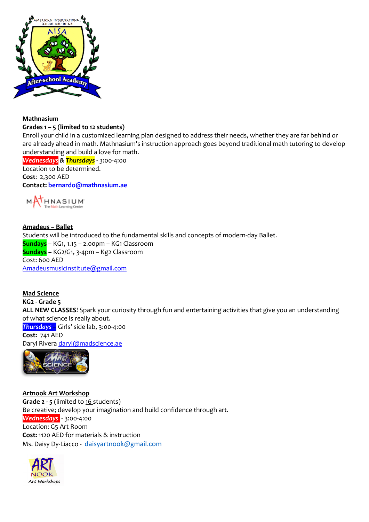

#### **Mathnasium**

#### **Grades 1 – 5 (limited to 12 students)**

Enroll your child in a customized learning plan designed to address their needs, whether they are far behind or are already ahead in math. Mathnasium's instruction approach goes beyond traditional math tutoring to develop understanding and build a love for math.

*Wednesdays & Thursdays -* 3:00-4:00 Location to be determined. **Cost**: 2,300 AED **Contact: bernardo@mathnasium.ae**



#### **Amadeus – Ballet** Students will be introduced to the fundamental skills and concepts of modern-day Ballet. **Sundays** – KG1, 1.15 – 2.00pm – KG1 Classroom **Sundays –** KG2/G1, 3-4pm – Kg2 Classroom Cost: 600 AED Amadeusmusicinstitute@gmail.com

**Mad Science KG2 - Grade 5 ALL NEW CLASSES**! Spark your curiosity through fun and entertaining activities that give you an understanding of what science is really about. *Thursdays* – Girls' side lab, 3:00-4:00 **Cost:** 741 AED Daryl Rivera daryl@madscience.ae



**Artnook Art Workshop Grade 2 - 5** (limited to 16 students) Be creative; develop your imagination and build confidence through art. *Wednesdays* - 3:00-4:00 Location: G5 Art Room **Cost:** 1120 AED for materials & instruction Ms. Daisy Dy-Liacco - daisyartnook@gmail.com